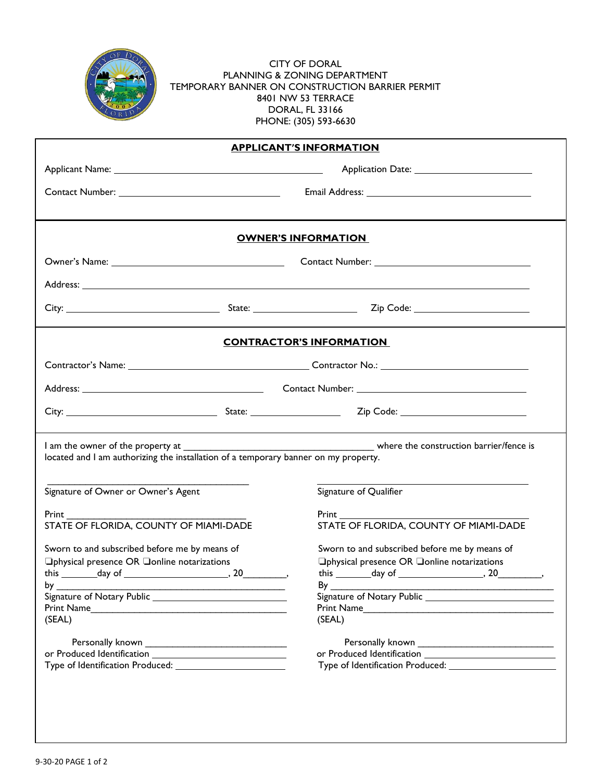

CITY OF DORAL PLANNING & ZONING DEPARTMENT TEMPORARY BANNER ON CONSTRUCTION BARRIER PERMIT 8401 NW 53 TERRACE DORAL, FL 33166 PHONE: (305) 593-6630

| <b>APPLICANT'S INFORMATION</b>                                                                                                                                                                                                                                                |                                                                                                                                                                                                                                |  |  |
|-------------------------------------------------------------------------------------------------------------------------------------------------------------------------------------------------------------------------------------------------------------------------------|--------------------------------------------------------------------------------------------------------------------------------------------------------------------------------------------------------------------------------|--|--|
|                                                                                                                                                                                                                                                                               |                                                                                                                                                                                                                                |  |  |
|                                                                                                                                                                                                                                                                               | Email Address: No. 1998. The Contract of the Contract of the Contract of the Contract of the Contract of the Contract of the Contract of the Contract of the Contract of the Contract of the Contract of the Contract of the C |  |  |
|                                                                                                                                                                                                                                                                               | <b>OWNER'S INFORMATION</b>                                                                                                                                                                                                     |  |  |
|                                                                                                                                                                                                                                                                               |                                                                                                                                                                                                                                |  |  |
|                                                                                                                                                                                                                                                                               |                                                                                                                                                                                                                                |  |  |
|                                                                                                                                                                                                                                                                               |                                                                                                                                                                                                                                |  |  |
|                                                                                                                                                                                                                                                                               | <b>CONTRACTOR'S INFORMATION</b>                                                                                                                                                                                                |  |  |
|                                                                                                                                                                                                                                                                               |                                                                                                                                                                                                                                |  |  |
|                                                                                                                                                                                                                                                                               |                                                                                                                                                                                                                                |  |  |
|                                                                                                                                                                                                                                                                               |                                                                                                                                                                                                                                |  |  |
| located and I am authorizing the installation of a temporary banner on my property.                                                                                                                                                                                           |                                                                                                                                                                                                                                |  |  |
| Signature of Owner or Owner's Agent                                                                                                                                                                                                                                           | Signature of Qualifier                                                                                                                                                                                                         |  |  |
| <b>Print</b> Prince and Prints and Prints and Prints and Prints and Prints and Prints and Prints and Prints and Prints and Prints and Prints and Prints and Prints and Prints and Prints and Prints and Prints and Prints and Print<br>STATE OF FLORIDA, COUNTY OF MIAMI-DADE | STATE OF FLORIDA, COUNTY OF MIAMI-DADE                                                                                                                                                                                         |  |  |
| Sworn to and subscribed before me by means of<br>□physical presence OR □online notarizations<br>(SEAL)                                                                                                                                                                        | Sworn to and subscribed before me by means of<br>□physical presence OR □online notarizations<br>this $\frac{1}{\text{day of}}$ , 20<br>$By_$<br>(SEAL)                                                                         |  |  |
|                                                                                                                                                                                                                                                                               |                                                                                                                                                                                                                                |  |  |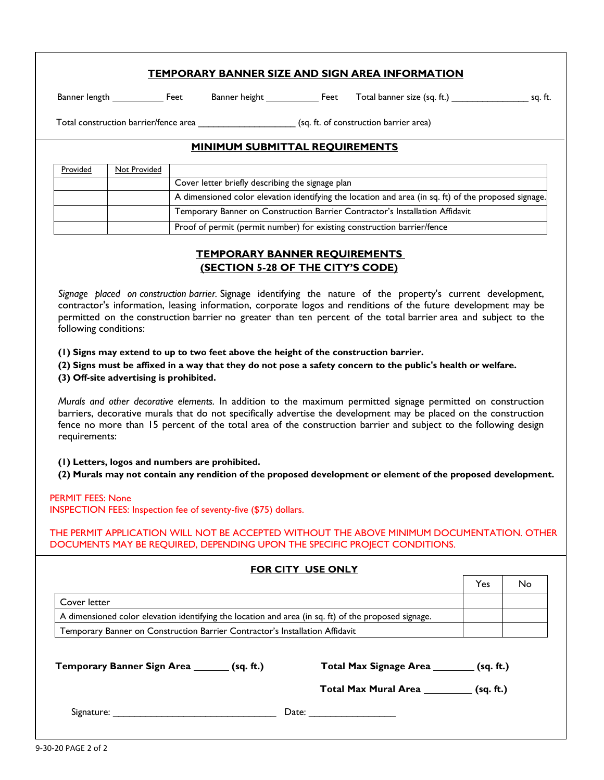#### **TEMPORARY BANNER SIZE AND SIGN AREA INFORMATION**

Banner length \_\_\_\_\_\_\_\_\_\_\_\_\_ Feet Banner height \_\_\_\_\_\_\_\_\_\_\_\_\_ Feet Total banner size (sq. ft.) \_\_\_\_\_\_\_\_\_\_\_\_\_\_\_\_\_\_\_\_\_\_ sq. ft.

Total construction barrier/fence area \_\_\_\_\_\_\_\_\_\_\_\_\_\_\_\_\_\_\_ (sq. ft. of construction barrier area)

# **MINIMUM SUBMITTAL REQUIREMENTS**

| Provided | Not Provided |                                                                                                      |
|----------|--------------|------------------------------------------------------------------------------------------------------|
|          |              | Cover letter briefly describing the signage plan                                                     |
|          |              | A dimensioned color elevation identifying the location and area (in sq. ft) of the proposed signage. |
|          |              | Temporary Banner on Construction Barrier Contractor's Installation Affidavit                         |
|          |              | Proof of permit (permit number) for existing construction barrier/fence                              |

## **TEMPORARY BANNER REQUIREMENTS (SECTION 5-28 OF THE CITY'S CODE)**

*Signage placed on construction barrier.* Signage identifying the nature of the property's current development, contractor's information, leasing information, corporate logos and renditions of the future development may be permitted on the construction barrier no greater than ten percent of the total barrier area and subject to the following conditions:

**(1) Signs may extend to up to two feet above the height of the construction barrier.**

**(2) Signs must be affixed in a way that they do not pose a safety concern to the public's health or welfare.**

**(3) Off-site advertising is prohibited.**

*Murals and other decorative elements.* In addition to the maximum permitted signage permitted on construction barriers, decorative murals that do not specifically advertise the development may be placed on the construction fence no more than 15 percent of the total area of the construction barrier and subject to the following design requirements:

**(1) Letters, logos and numbers are prohibited.**

**(2) Murals may not contain any rendition of the proposed development or element of the proposed development.**

#### PERMIT FEES: None

INSPECTION FEES: Inspection fee of seventy-five (\$75) dollars.

THE PERMIT APPLICATION WILL NOT BE ACCEPTED WITHOUT THE ABOVE MINIMUM DOCUMENTATION. OTHER DOCUMENTS MAY BE REQUIRED, DEPENDING UPON THE SPECIFIC PROJECT CONDITIONS.

|                                                                                                      | <b>FOR CITY USE ONLY</b>                   |     |    |
|------------------------------------------------------------------------------------------------------|--------------------------------------------|-----|----|
|                                                                                                      |                                            | Yes | No |
| Cover letter                                                                                         |                                            |     |    |
| A dimensioned color elevation identifying the location and area (in sq. ft) of the proposed signage. |                                            |     |    |
| Temporary Banner on Construction Barrier Contractor's Installation Affidavit                         |                                            |     |    |
| Temporary Banner Sign Area _______ (sq. ft.)                                                         | Total Max Signage Area ________ (sq. ft.)  |     |    |
|                                                                                                      | Total Max Mural Area ___________ (sq. ft.) |     |    |
|                                                                                                      |                                            |     |    |
|                                                                                                      |                                            |     |    |